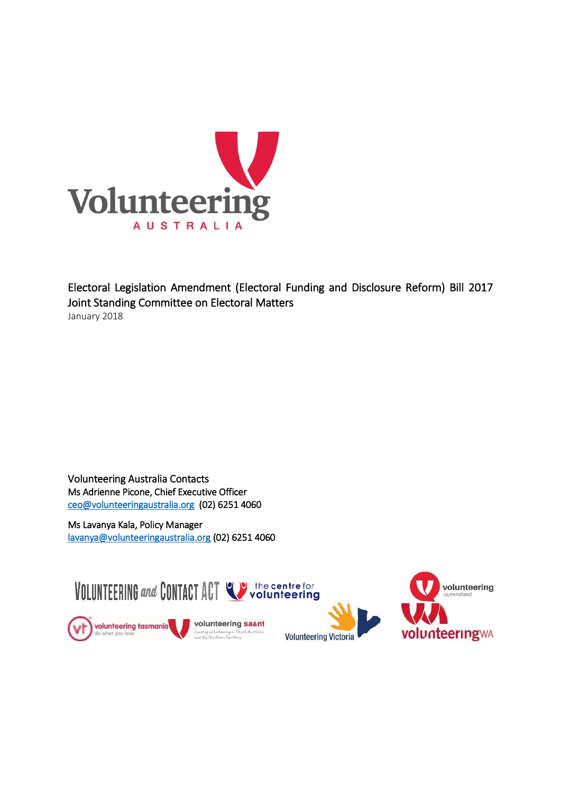

Electoral Legislation Amendment (Electoral Funding and Disclosure Reform) Bill 2017 Joint Standing Committee on Electoral Matters January 2018

Volunteering Australia Contacts Ms Adrienne Picone, Chief Executive Officer [ceo@volunteeringaustralia.org](mailto:ceo@volunteeringaustralia.org) (02) 6251 4060

Ms Lavanya Kala, Policy Manager [lavanya@volunteeringaustralia.org](mailto:lavanya@volunteeringaustralia.org) (02) 6251 4060

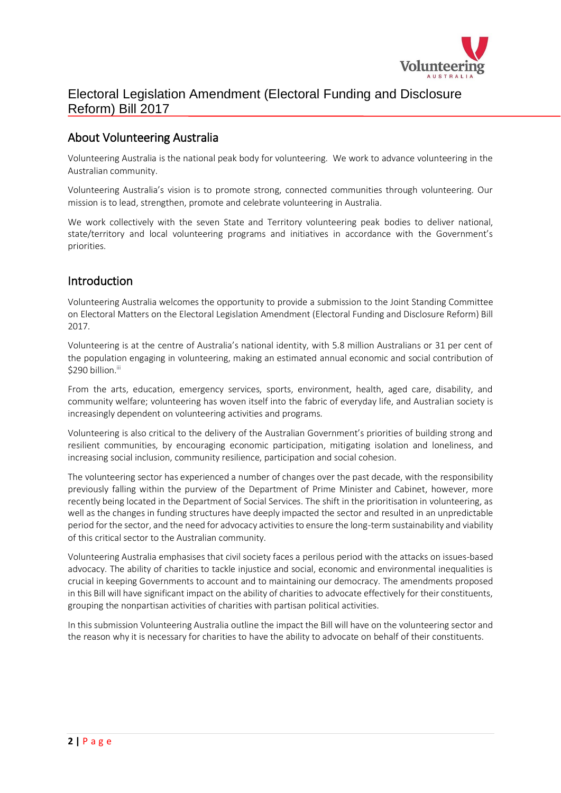

### About Volunteering Australia

Volunteering Australia is the national peak body for volunteering. We work to advance volunteering in the Australian community.

Volunteering Australia's vision is to promote strong, connected communities through volunteering. Our mission is to lead, strengthen, promote and celebrate volunteering in Australia.

We work collectively with the seven State and Territory volunteering peak bodies to deliver national, state/territory and local volunteering programs and initiatives in accordance with the Government's priorities.

#### Introduction

Volunteering Australia welcomes the opportunity to provide a submission to the Joint Standing Committee on Electoral Matters on the Electoral Legislation Amendment (Electoral Funding and Disclosure Reform) Bill 2017.

Volunteering is at the centre of Australia's national identity, with 5.8 million Australians or 31 per cent of the population engaging in volunteering, making an estimated annual economic and social contribution of \$290 billion.iii

From the arts, education, emergency services, sports, environment, health, aged care, disability, and community welfare; volunteering has woven itself into the fabric of everyday life, and Australian society is increasingly dependent on volunteering activities and programs.

Volunteering is also critical to the delivery of the Australian Government's priorities of building strong and resilient communities, by encouraging economic participation, mitigating isolation and loneliness, and increasing social inclusion, community resilience, participation and social cohesion.

The volunteering sector has experienced a number of changes over the past decade, with the responsibility previously falling within the purview of the Department of Prime Minister and Cabinet, however, more recently being located in the Department of Social Services. The shift in the prioritisation in volunteering, as well as the changes in funding structures have deeply impacted the sector and resulted in an unpredictable period for the sector, and the need for advocacy activities to ensure the long-term sustainability and viability of this critical sector to the Australian community.

Volunteering Australia emphasises that civil society faces a perilous period with the attacks on issues-based advocacy. The ability of charities to tackle injustice and social, economic and environmental inequalities is crucial in keeping Governments to account and to maintaining our democracy. The amendments proposed in this Bill will have significant impact on the ability of charities to advocate effectively for their constituents, grouping the nonpartisan activities of charities with partisan political activities.

In this submission Volunteering Australia outline the impact the Bill will have on the volunteering sector and the reason why it is necessary for charities to have the ability to advocate on behalf of their constituents.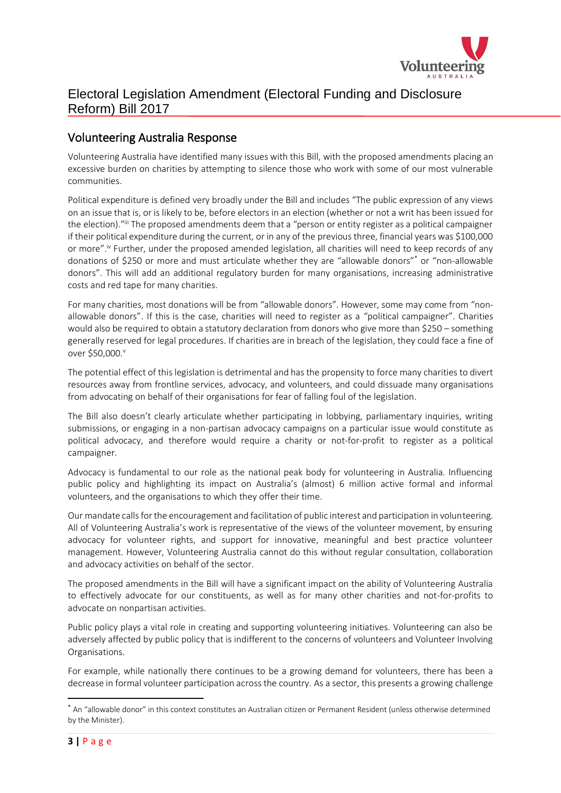

### Volunteering Australia Response

Volunteering Australia have identified many issues with this Bill, with the proposed amendments placing an excessive burden on charities by attempting to silence those who work with some of our most vulnerable communities.

Political expenditure is defined very broadly under the Bill and includes "The public expression of any views on an issue that is, or is likely to be, before electors in an election (whether or not a writ has been issued for the election)."<sup>iii</sup> The proposed amendments deem that a "person or entity register as a political campaigner if their political expenditure during the current, or in any of the previous three, financial years was \$100,000 or more".<sup>iv</sup> Further, under the proposed amended legislation, all charities will need to keep records of any donations of \$250 or more and must articulate whether they are "allowable donors"\* or "non-allowable donors". This will add an additional regulatory burden for many organisations, increasing administrative costs and red tape for many charities.

For many charities, most donations will be from "allowable donors". However, some may come from "nonallowable donors". If this is the case, charities will need to register as a "political campaigner". Charities would also be required to obtain a statutory declaration from donors who give more than \$250 – something generally reserved for legal procedures. If charities are in breach of the legislation, they could face a fine of over \$50,000.<sup>v</sup>

The potential effect of this legislation is detrimental and has the propensity to force many charities to divert resources away from frontline services, advocacy, and volunteers, and could dissuade many organisations from advocating on behalf of their organisations for fear of falling foul of the legislation.

The Bill also doesn't clearly articulate whether participating in lobbying, parliamentary inquiries, writing submissions, or engaging in a non-partisan advocacy campaigns on a particular issue would constitute as political advocacy, and therefore would require a charity or not-for-profit to register as a political campaigner.

Advocacy is fundamental to our role as the national peak body for volunteering in Australia. Influencing public policy and highlighting its impact on Australia's (almost) 6 million active formal and informal volunteers, and the organisations to which they offer their time.

Our mandate calls for the encouragement and facilitation of public interest and participation in volunteering. All of Volunteering Australia's work is representative of the views of the volunteer movement, by ensuring advocacy for volunteer rights, and support for innovative, meaningful and best practice volunteer management. However, Volunteering Australia cannot do this without regular consultation, collaboration and advocacy activities on behalf of the sector.

The proposed amendments in the Bill will have a significant impact on the ability of Volunteering Australia to effectively advocate for our constituents, as well as for many other charities and not-for-profits to advocate on nonpartisan activities.

Public policy plays a vital role in creating and supporting volunteering initiatives. Volunteering can also be adversely affected by public policy that is indifferent to the concerns of volunteers and Volunteer Involving Organisations.

For example, while nationally there continues to be a growing demand for volunteers, there has been a decrease in formal volunteer participation across the country. As a sector, this presents a growing challenge

1

<sup>\*</sup> An "allowable donor" in this context constitutes an Australian citizen or Permanent Resident (unless otherwise determined by the Minister).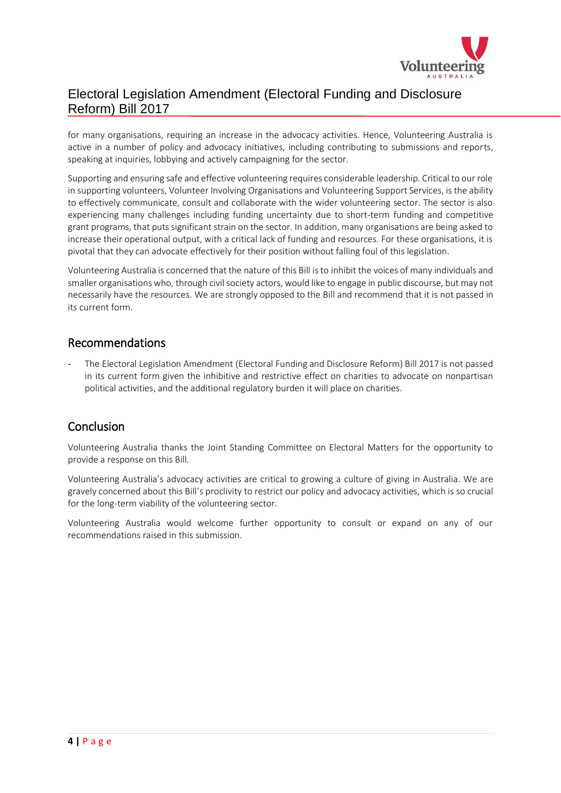

for many organisations, requiring an increase in the advocacy activities. Hence, Volunteering Australia is active in a number of policy and advocacy initiatives, including contributing to submissions and reports, speaking at inquiries, lobbying and actively campaigning for the sector.

Supporting and ensuring safe and effective volunteering requires considerable leadership. Critical to our role in supporting volunteers, Volunteer Involving Organisations and Volunteering Support Services, is the ability to effectively communicate, consult and collaborate with the wider volunteering sector. The sector is also experiencing many challenges including funding uncertainty due to short-term funding and competitive grant programs, that puts significant strain on the sector. In addition, many organisations are being asked to increase their operational output, with a critical lack of funding and resources. For these organisations, it is pivotal that they can advocate effectively for their position without falling foul of this legislation.

Volunteering Australia is concerned that the nature of this Bill is to inhibit the voices of many individuals and smaller organisations who, through civil society actors, would like to engage in public discourse, but may not necessarily have the resources. We are strongly opposed to the Bill and recommend that it is not passed in its current form.

#### Recommendations

The Electoral Legislation Amendment (Electoral Funding and Disclosure Reform) Bill 2017 is not passed in its current form given the inhibitive and restrictive effect on charities to advocate on nonpartisan political activities, and the additional regulatory burden it will place on charities.

#### Conclusion

Volunteering Australia thanks the Joint Standing Committee on Electoral Matters for the opportunity to provide a response on this Bill.

Volunteering Australia's advocacy activities are critical to growing a culture of giving in Australia. We are gravely concerned about this Bill's proclivity to restrict our policy and advocacy activities, which is so crucial for the long-term viability of the volunteering sector.

Volunteering Australia would welcome further opportunity to consult or expand on any of our recommendations raised in this submission.